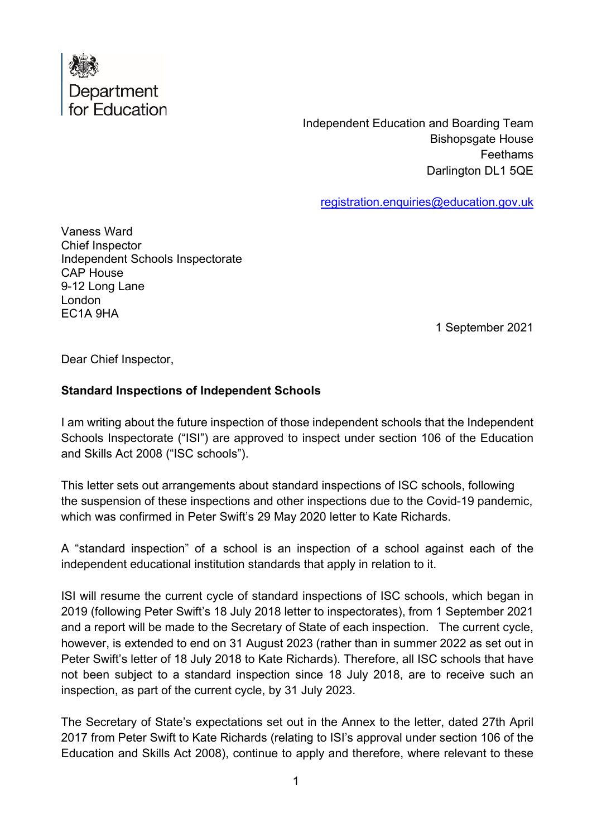

Independent Education and Boarding Team Bishopsgate House **Feethams** Darlington DL1 5QE

[registration.enquiries@education.gov.uk](mailto:registration.enquiries@education.gov.uk)

Vaness Ward Chief Inspector Independent Schools Inspectorate CAP House 9-12 Long Lane London EC1A 9HA

1 September 2021

Dear Chief Inspector,

## **Standard Inspections of Independent Schools**

I am writing about the future inspection of those independent schools that the Independent Schools Inspectorate ("ISI") are approved to inspect under section 106 of the Education and Skills Act 2008 ("ISC schools").

This letter sets out arrangements about standard inspections of ISC schools, following the suspension of these inspections and other inspections due to the Covid-19 pandemic, which was confirmed in Peter Swift's 29 May 2020 letter to Kate Richards.

A "standard inspection" of a school is an inspection of a school against each of the independent educational institution standards that apply in relation to it.

ISI will resume the current cycle of standard inspections of ISC schools, which began in 2019 (following Peter Swift's 18 July 2018 letter to inspectorates), from 1 September 2021 and a report will be made to the Secretary of State of each inspection. The current cycle, however, is extended to end on 31 August 2023 (rather than in summer 2022 as set out in Peter Swift's letter of 18 July 2018 to Kate Richards). Therefore, all ISC schools that have not been subject to a standard inspection since 18 July 2018, are to receive such an inspection, as part of the current cycle, by 31 July 2023.

The Secretary of State's expectations set out in the Annex to the letter, dated 27th April 2017 from Peter Swift to Kate Richards (relating to ISI's approval under section 106 of the Education and Skills Act 2008), continue to apply and therefore, where relevant to these